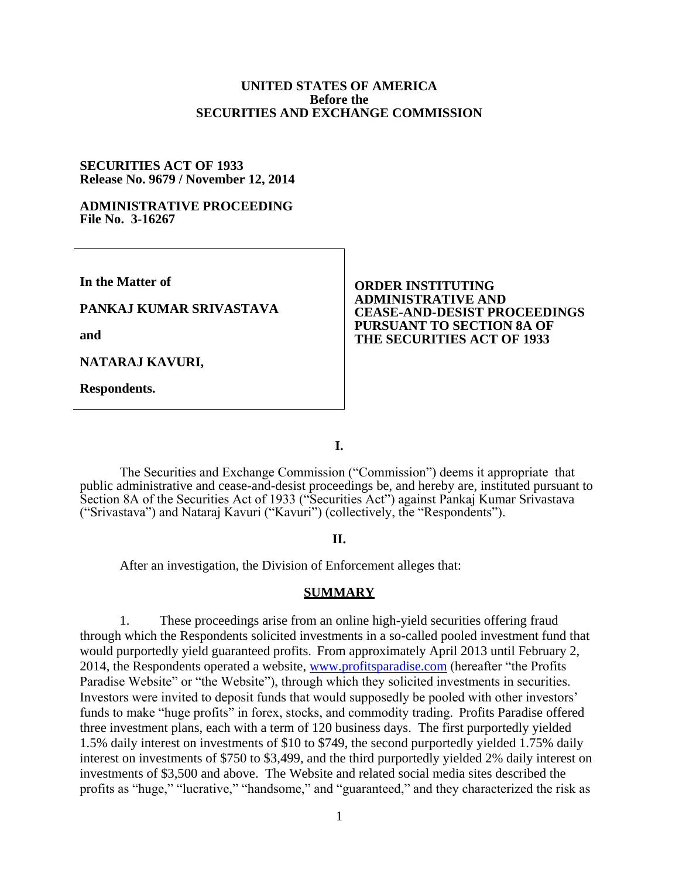### **UNITED STATES OF AMERICA Before the SECURITIES AND EXCHANGE COMMISSION**

#### **SECURITIES ACT OF 1933 Release No. 9679 / November 12, 2014**

#### **ADMINISTRATIVE PROCEEDING File No. 3-16267**

**In the Matter of**

### **PANKAJ KUMAR SRIVASTAVA**

**and**

**NATARAJ KAVURI,**

**Respondents.**

### **ORDER INSTITUTING ADMINISTRATIVE AND CEASE-AND-DESIST PROCEEDINGS PURSUANT TO SECTION 8A OF THE SECURITIES ACT OF 1933**

**I.**

The Securities and Exchange Commission ("Commission") deems it appropriate that public administrative and cease-and-desist proceedings be, and hereby are, instituted pursuant to Section 8A of the Securities Act of 1933 ("Securities Act") against Pankaj Kumar Srivastava ("Srivastava") and Nataraj Kavuri ("Kavuri") (collectively, the "Respondents").

## **II.**

After an investigation, the Division of Enforcement alleges that:

### **SUMMARY**

1. These proceedings arise from an online high-yield securities offering fraud through which the Respondents solicited investments in a so-called pooled investment fund that would purportedly yield guaranteed profits. From approximately April 2013 until February 2, 2014, the Respondents operated a website, www.profitsparadise.com (hereafter "the Profits Paradise Website" or "the Website"), through which they solicited investments in securities. Investors were invited to deposit funds that would supposedly be pooled with other investors' funds to make "huge profits" in forex, stocks, and commodity trading. Profits Paradise offered three investment plans, each with a term of 120 business days. The first purportedly yielded 1.5% daily interest on investments of \$10 to \$749, the second purportedly yielded 1.75% daily interest on investments of \$750 to \$3,499, and the third purportedly yielded 2% daily interest on investments of \$3,500 and above. The Website and related social media sites described the profits as "huge," "lucrative," "handsome," and "guaranteed," and they characterized the risk as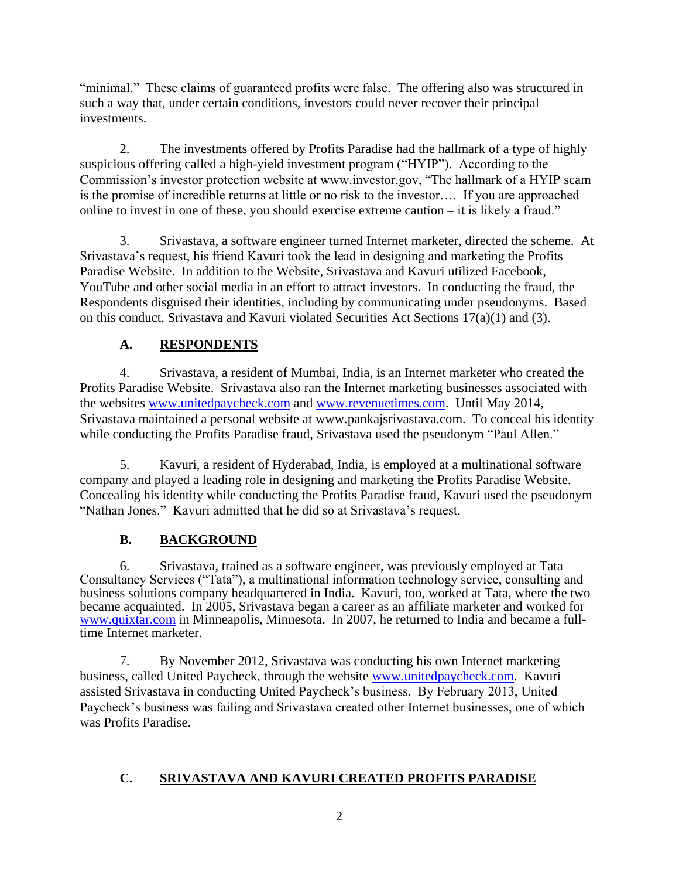"minimal." These claims of guaranteed profits were false. The offering also was structured in such a way that, under certain conditions, investors could never recover their principal investments.

2. The investments offered by Profits Paradise had the hallmark of a type of highly suspicious offering called a high-yield investment program ("HYIP"). According to the Commission's investor protection website at www.investor.gov, "The hallmark of a HYIP scam is the promise of incredible returns at little or no risk to the investor…. If you are approached online to invest in one of these, you should exercise extreme caution – it is likely a fraud."

3. Srivastava, a software engineer turned Internet marketer, directed the scheme. At Srivastava's request, his friend Kavuri took the lead in designing and marketing the Profits Paradise Website. In addition to the Website, Srivastava and Kavuri utilized Facebook, YouTube and other social media in an effort to attract investors. In conducting the fraud, the Respondents disguised their identities, including by communicating under pseudonyms. Based on this conduct, Srivastava and Kavuri violated Securities Act Sections 17(a)(1) and (3).

# **A. RESPONDENTS**

4. Srivastava, a resident of Mumbai, India, is an Internet marketer who created the Profits Paradise Website. Srivastava also ran the Internet marketing businesses associated with the websites www.unitedpaycheck.com and www.revenuetimes.com. Until May 2014, Srivastava maintained a personal website at www.pankajsrivastava.com. To conceal his identity while conducting the Profits Paradise fraud, Srivastava used the pseudonym "Paul Allen."

5. Kavuri, a resident of Hyderabad, India, is employed at a multinational software company and played a leading role in designing and marketing the Profits Paradise Website. Concealing his identity while conducting the Profits Paradise fraud, Kavuri used the pseudonym "Nathan Jones." Kavuri admitted that he did so at Srivastava's request.

# **B. BACKGROUND**

6. Srivastava, trained as a software engineer, was previously employed at Tata Consultancy Services ("Tata"), a multinational information technology service, consulting and business solutions company headquartered in India. Kavuri, too, worked at Tata, where the two became acquainted. In 2005, Srivastava began a career as an affiliate marketer and worked for www.quixtar.com in Minneapolis, Minnesota. In 2007, he returned to India and became a fulltime Internet marketer.

7. By November 2012, Srivastava was conducting his own Internet marketing business, called United Paycheck, through the website www.unitedpaycheck.com. Kavuri assisted Srivastava in conducting United Paycheck's business. By February 2013, United Paycheck's business was failing and Srivastava created other Internet businesses, one of which was Profits Paradise.

# **C. SRIVASTAVA AND KAVURI CREATED PROFITS PARADISE**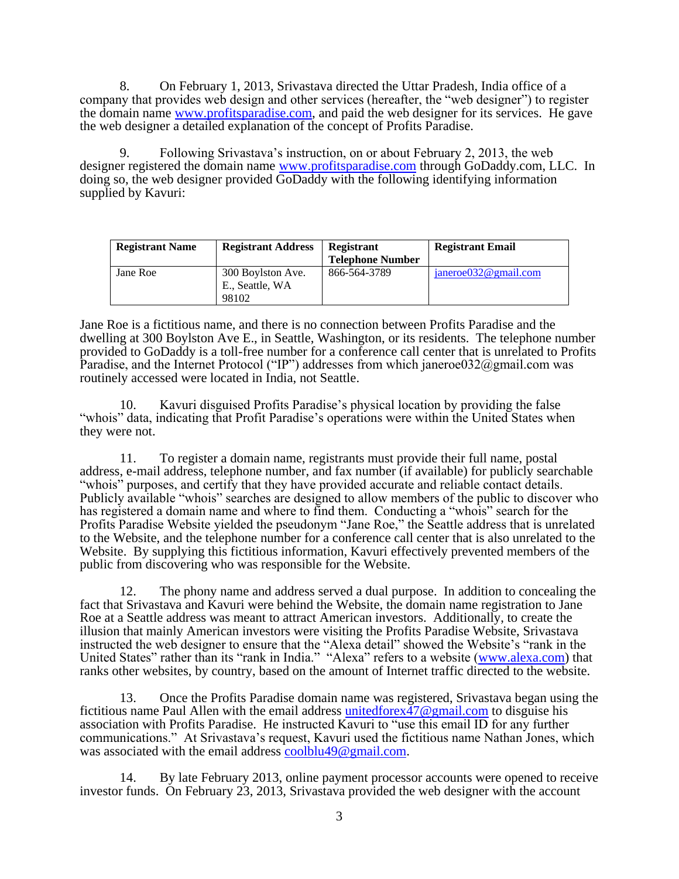8. On February 1, 2013, Srivastava directed the Uttar Pradesh, India office of a company that provides web design and other services (hereafter, the "web designer") to register the domain name www.profitsparadise.com, and paid the web designer for its services. He gave the web designer a detailed explanation of the concept of Profits Paradise.

9. Following Srivastava's instruction, on or about February 2, 2013, the web designer registered the domain name www.profitsparadise.com through GoDaddy.com, LLC. In doing so, the web designer provided GoDaddy with the following identifying information supplied by Kavuri:

| <b>Registrant Name</b> | <b>Registrant Address</b>            | Registrant<br><b>Telephone Number</b> | <b>Registrant Email</b> |
|------------------------|--------------------------------------|---------------------------------------|-------------------------|
| Jane Roe               | 300 Boylston Ave.<br>E., Seattle, WA | 866-564-3789                          | janeroe032@gmail.com    |
|                        | 98102                                |                                       |                         |

Jane Roe is a fictitious name, and there is no connection between Profits Paradise and the dwelling at 300 Boylston Ave E., in Seattle, Washington, or its residents. The telephone number provided to GoDaddy is a toll-free number for a conference call center that is unrelated to Profits Paradise, and the Internet Protocol ("IP") addresses from which janeroe032@gmail.com was routinely accessed were located in India, not Seattle.

10. Kavuri disguised Profits Paradise's physical location by providing the false "whois" data, indicating that Profit Paradise's operations were within the United States when they were not.

11. To register a domain name, registrants must provide their full name, postal address, e-mail address, telephone number, and fax number (if available) for publicly searchable "whois" purposes, and certify that they have provided accurate and reliable contact details. Publicly available "whois" searches are designed to allow members of the public to discover who has registered a domain name and where to find them. Conducting a "whois" search for the Profits Paradise Website yielded the pseudonym "Jane Roe," the Seattle address that is unrelated to the Website, and the telephone number for a conference call center that is also unrelated to the Website. By supplying this fictitious information, Kavuri effectively prevented members of the public from discovering who was responsible for the Website.

12. The phony name and address served a dual purpose. In addition to concealing the fact that Srivastava and Kavuri were behind the Website, the domain name registration to Jane Roe at a Seattle address was meant to attract American investors. Additionally, to create the illusion that mainly American investors were visiting the Profits Paradise Website, Srivastava instructed the web designer to ensure that the "Alexa detail" showed the Website's "rank in the United States" rather than its "rank in India." "Alexa" refers to a website (www.alexa.com) that ranks other websites, by country, based on the amount of Internet traffic directed to the website.

13. Once the Profits Paradise domain name was registered, Srivastava began using the fictitious name Paul Allen with the email address unitedforex $\overline{47}$  @gmail.com to disguise his association with Profits Paradise. He instructed Kavuri to "use this email ID for any further communications." At Srivastava's request, Kavuri used the fictitious name Nathan Jones, which was associated with the email address coolblu49@gmail.com.

14. By late February 2013, online payment processor accounts were opened to receive investor funds. On February 23, 2013, Srivastava provided the web designer with the account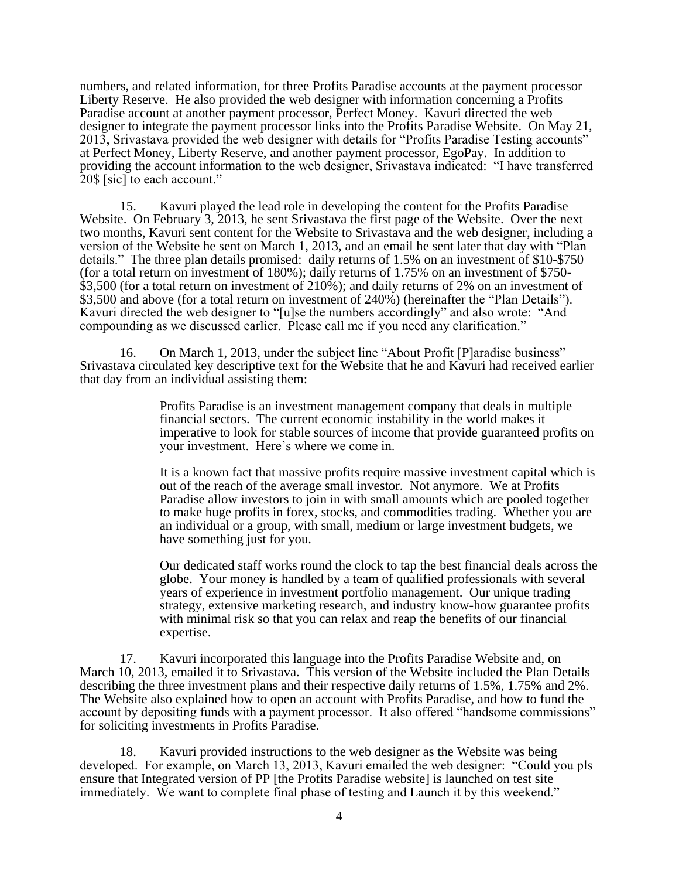numbers, and related information, for three Profits Paradise accounts at the payment processor Liberty Reserve. He also provided the web designer with information concerning a Profits Paradise account at another payment processor, Perfect Money. Kavuri directed the web designer to integrate the payment processor links into the Profits Paradise Website. On May 21, 2013, Srivastava provided the web designer with details for "Profits Paradise Testing accounts" at Perfect Money, Liberty Reserve, and another payment processor, EgoPay. In addition to providing the account information to the web designer, Srivastava indicated: "I have transferred 20\$ [sic] to each account."

15. Kavuri played the lead role in developing the content for the Profits Paradise Website. On February 3, 2013, he sent Srivastava the first page of the Website. Over the next two months, Kavuri sent content for the Website to Srivastava and the web designer, including a version of the Website he sent on March 1, 2013, and an email he sent later that day with "Plan details." The three plan details promised: daily returns of 1.5% on an investment of \$10-\$750 (for a total return on investment of 180%); daily returns of 1.75% on an investment of \$750- \$3,500 (for a total return on investment of 210%); and daily returns of 2% on an investment of \$3,500 and above (for a total return on investment of 240%) (hereinafter the "Plan Details"). Kavuri directed the web designer to "[u]se the numbers accordingly" and also wrote: "And compounding as we discussed earlier. Please call me if you need any clarification."

16. On March 1, 2013, under the subject line "About Profit [P]aradise business" Srivastava circulated key descriptive text for the Website that he and Kavuri had received earlier that day from an individual assisting them:

> Profits Paradise is an investment management company that deals in multiple financial sectors. The current economic instability in the world makes it imperative to look for stable sources of income that provide guaranteed profits on your investment. Here's where we come in.

> It is a known fact that massive profits require massive investment capital which is out of the reach of the average small investor. Not anymore. We at Profits Paradise allow investors to join in with small amounts which are pooled together to make huge profits in forex, stocks, and commodities trading. Whether you are an individual or a group, with small, medium or large investment budgets, we have something just for you.

> Our dedicated staff works round the clock to tap the best financial deals across the globe. Your money is handled by a team of qualified professionals with several years of experience in investment portfolio management. Our unique trading strategy, extensive marketing research, and industry know-how guarantee profits with minimal risk so that you can relax and reap the benefits of our financial expertise.

17. Kavuri incorporated this language into the Profits Paradise Website and, on March 10, 2013, emailed it to Srivastava. This version of the Website included the Plan Details describing the three investment plans and their respective daily returns of 1.5%, 1.75% and 2%. The Website also explained how to open an account with Profits Paradise, and how to fund the account by depositing funds with a payment processor. It also offered "handsome commissions" for soliciting investments in Profits Paradise.

18. Kavuri provided instructions to the web designer as the Website was being developed. For example, on March 13, 2013, Kavuri emailed the web designer: "Could you pls ensure that Integrated version of PP [the Profits Paradise website] is launched on test site immediately. We want to complete final phase of testing and Launch it by this weekend."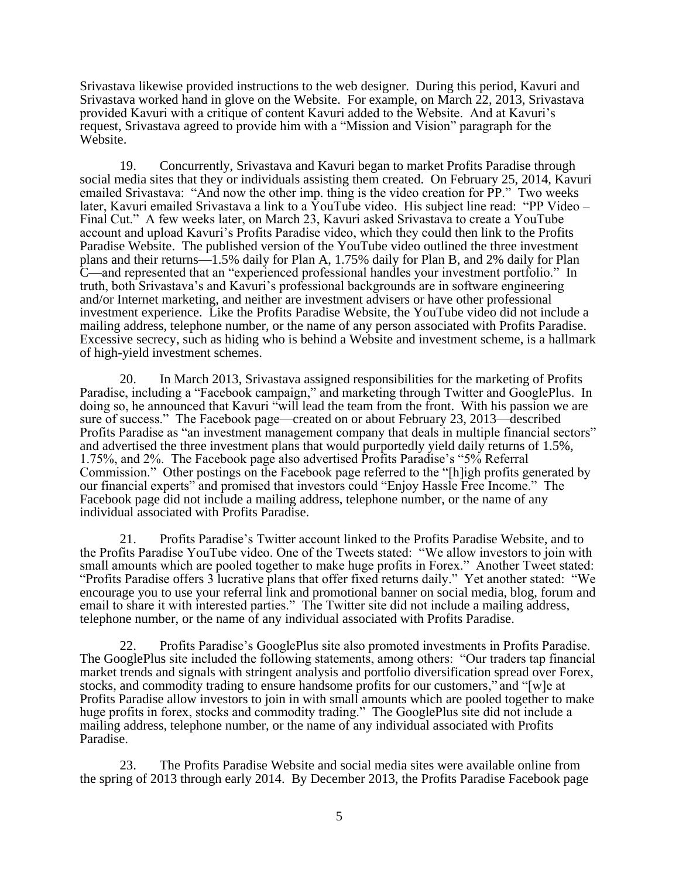Srivastava likewise provided instructions to the web designer. During this period, Kavuri and Srivastava worked hand in glove on the Website. For example, on March 22, 2013, Srivastava provided Kavuri with a critique of content Kavuri added to the Website. And at Kavuri's request, Srivastava agreed to provide him with a "Mission and Vision" paragraph for the Website.

19. Concurrently, Srivastava and Kavuri began to market Profits Paradise through social media sites that they or individuals assisting them created. On February 25, 2014, Kavuri emailed Srivastava: "And now the other imp. thing is the video creation for PP." Two weeks later, Kavuri emailed Srivastava a link to a YouTube video. His subject line read: "PP Video – Final Cut." A few weeks later, on March 23, Kavuri asked Srivastava to create a YouTube account and upload Kavuri's Profits Paradise video, which they could then link to the Profits Paradise Website. The published version of the YouTube video outlined the three investment plans and their returns—1.5% daily for Plan A, 1.75% daily for Plan B, and 2% daily for Plan C—and represented that an "experienced professional handles your investment portfolio." In truth, both Srivastava's and Kavuri's professional backgrounds are in software engineering and/or Internet marketing, and neither are investment advisers or have other professional investment experience. Like the Profits Paradise Website, the YouTube video did not include a mailing address, telephone number, or the name of any person associated with Profits Paradise. Excessive secrecy, such as hiding who is behind a Website and investment scheme, is a hallmark of high-yield investment schemes.

20. In March 2013, Srivastava assigned responsibilities for the marketing of Profits Paradise, including a "Facebook campaign," and marketing through Twitter and GooglePlus. In doing so, he announced that Kavuri "will lead the team from the front. With his passion we are sure of success." The Facebook page—created on or about February 23, 2013—described Profits Paradise as "an investment management company that deals in multiple financial sectors" and advertised the three investment plans that would purportedly yield daily returns of 1.5%, 1.75%, and 2%. The Facebook page also advertised Profits Paradise's "5% Referral Commission." Other postings on the Facebook page referred to the "[h]igh profits generated by our financial experts" and promised that investors could "Enjoy Hassle Free Income." The Facebook page did not include a mailing address, telephone number, or the name of any individual associated with Profits Paradise.

21. Profits Paradise's Twitter account linked to the Profits Paradise Website, and to the Profits Paradise YouTube video. One of the Tweets stated: "We allow investors to join with small amounts which are pooled together to make huge profits in Forex." Another Tweet stated: "Profits Paradise offers 3 lucrative plans that offer fixed returns daily." Yet another stated: "We encourage you to use your referral link and promotional banner on social media, blog, forum and email to share it with interested parties." The Twitter site did not include a mailing address, telephone number, or the name of any individual associated with Profits Paradise.

22. Profits Paradise's GooglePlus site also promoted investments in Profits Paradise. The GooglePlus site included the following statements, among others: "Our traders tap financial market trends and signals with stringent analysis and portfolio diversification spread over Forex, stocks, and commodity trading to ensure handsome profits for our customers," and "[w]e at Profits Paradise allow investors to join in with small amounts which are pooled together to make huge profits in forex, stocks and commodity trading." The GooglePlus site did not include a mailing address, telephone number, or the name of any individual associated with Profits Paradise.

23. The Profits Paradise Website and social media sites were available online from the spring of 2013 through early 2014. By December 2013, the Profits Paradise Facebook page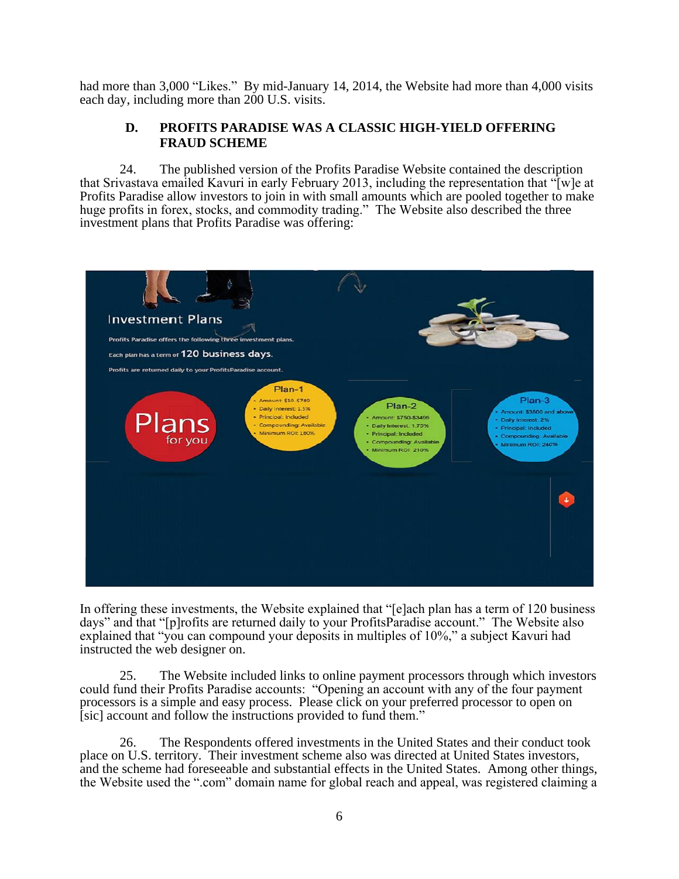had more than 3,000 "Likes." By mid-January 14, 2014, the Website had more than 4,000 visits each day, including more than 200 U.S. visits.

# **D. PROFITS PARADISE WAS A CLASSIC HIGH-YIELD OFFERING FRAUD SCHEME**

24. The published version of the Profits Paradise Website contained the description that Srivastava emailed Kavuri in early February 2013, including the representation that "[w]e at Profits Paradise allow investors to join in with small amounts which are pooled together to make huge profits in forex, stocks, and commodity trading." The Website also described the three investment plans that Profits Paradise was offering:



In offering these investments, the Website explained that "[e]ach plan has a term of 120 business days" and that "[p]rofits are returned daily to your ProfitsParadise account." The Website also explained that "you can compound your deposits in multiples of 10%," a subject Kavuri had instructed the web designer on.

25. The Website included links to online payment processors through which investors could fund their Profits Paradise accounts: "Opening an account with any of the four payment processors is a simple and easy process. Please click on your preferred processor to open on [sic] account and follow the instructions provided to fund them."

26. The Respondents offered investments in the United States and their conduct took place on U.S. territory. Their investment scheme also was directed at United States investors, and the scheme had foreseeable and substantial effects in the United States. Among other things, the Website used the ".com" domain name for global reach and appeal, was registered claiming a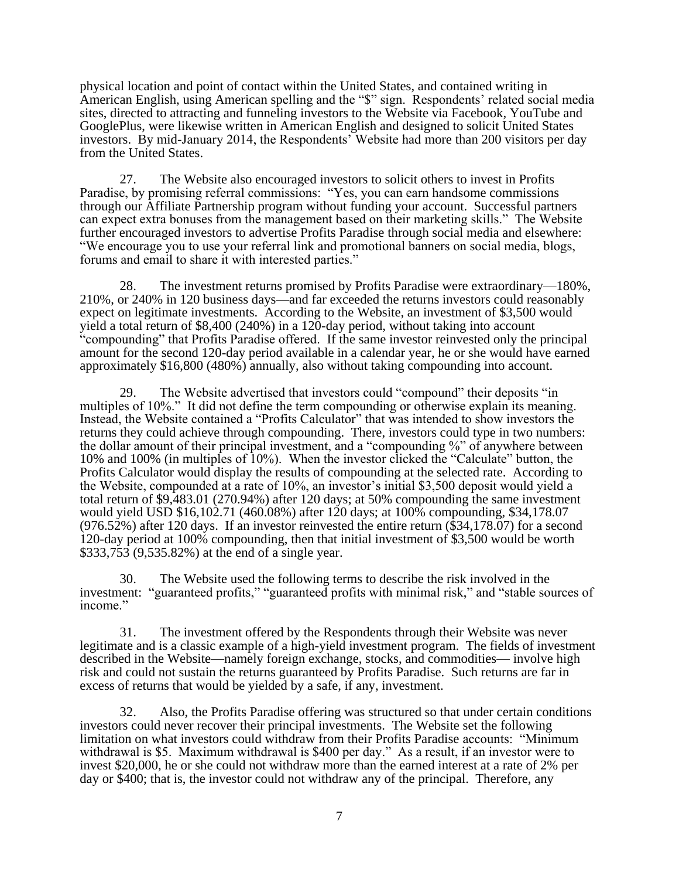physical location and point of contact within the United States, and contained writing in American English, using American spelling and the "\$" sign. Respondents' related social media sites, directed to attracting and funneling investors to the Website via Facebook, YouTube and GooglePlus, were likewise written in American English and designed to solicit United States investors. By mid-January 2014, the Respondents' Website had more than 200 visitors per day from the United States.

27. The Website also encouraged investors to solicit others to invest in Profits Paradise, by promising referral commissions: "Yes, you can earn handsome commissions through our Affiliate Partnership program without funding your account. Successful partners can expect extra bonuses from the management based on their marketing skills." The Website further encouraged investors to advertise Profits Paradise through social media and elsewhere: "We encourage you to use your referral link and promotional banners on social media, blogs, forums and email to share it with interested parties."

28. The investment returns promised by Profits Paradise were extraordinary—180%, 210%, or 240% in 120 business days—and far exceeded the returns investors could reasonably expect on legitimate investments. According to the Website, an investment of \$3,500 would yield a total return of \$8,400 (240%) in a 120-day period, without taking into account "compounding" that Profits Paradise offered. If the same investor reinvested only the principal amount for the second 120-day period available in a calendar year, he or she would have earned approximately \$16,800 (480%) annually, also without taking compounding into account.

29. The Website advertised that investors could "compound" their deposits "in multiples of 10%." It did not define the term compounding or otherwise explain its meaning. Instead, the Website contained a "Profits Calculator" that was intended to show investors the returns they could achieve through compounding. There, investors could type in two numbers: the dollar amount of their principal investment, and a "compounding %" of anywhere between 10% and 100% (in multiples of 10%). When the investor clicked the "Calculate" button, the Profits Calculator would display the results of compounding at the selected rate. According to the Website, compounded at a rate of 10%, an investor's initial \$3,500 deposit would yield a total return of \$9,483.01 (270.94%) after 120 days; at 50% compounding the same investment would yield USD \$16,102.71 (460.08%) after 120 days; at 100% compounding, \$34,178.07  $(976.52\%)$  after 120 days. If an investor reinvested the entire return  $(\$34,178.07)$  for a second 120-day period at 100% compounding, then that initial investment of \$3,500 would be worth \$333,753 (9,535.82%) at the end of a single year.

30. The Website used the following terms to describe the risk involved in the investment: "guaranteed profits," "guaranteed profits with minimal risk," and "stable sources of income."

31. The investment offered by the Respondents through their Website was never legitimate and is a classic example of a high-yield investment program. The fields of investment described in the Website—namely foreign exchange, stocks, and commodities— involve high risk and could not sustain the returns guaranteed by Profits Paradise. Such returns are far in excess of returns that would be yielded by a safe, if any, investment.

32. Also, the Profits Paradise offering was structured so that under certain conditions investors could never recover their principal investments. The Website set the following limitation on what investors could withdraw from their Profits Paradise accounts: "Minimum withdrawal is \$5. Maximum withdrawal is \$400 per day." As a result, if an investor were to invest \$20,000, he or she could not withdraw more than the earned interest at a rate of 2% per day or \$400; that is, the investor could not withdraw any of the principal. Therefore, any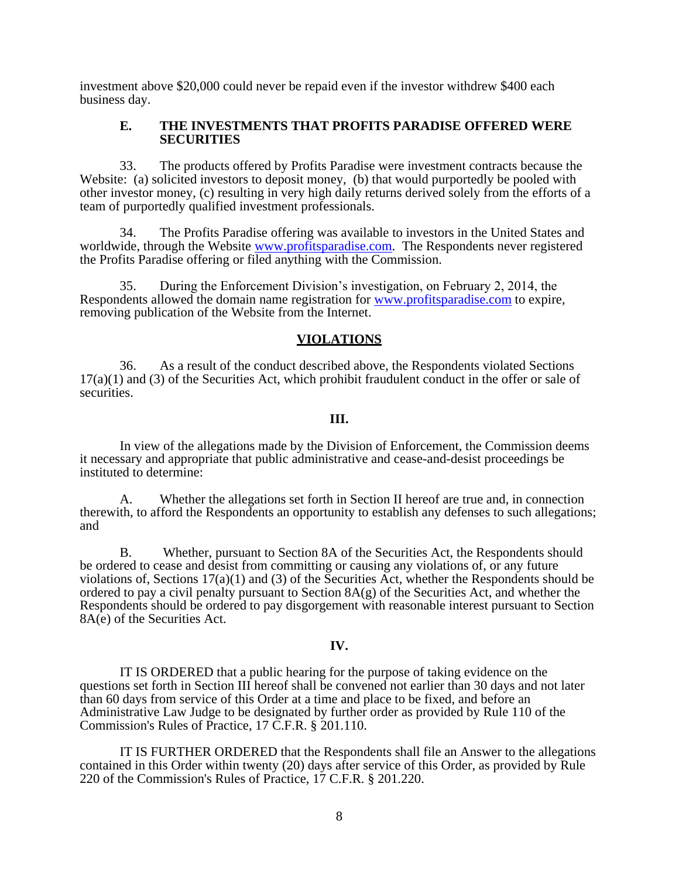investment above \$20,000 could never be repaid even if the investor withdrew \$400 each business day.

### **E. THE INVESTMENTS THAT PROFITS PARADISE OFFERED WERE SECURITIES**

33. The products offered by Profits Paradise were investment contracts because the Website: (a) solicited investors to deposit money, (b) that would purportedly be pooled with other investor money, (c) resulting in very high daily returns derived solely from the efforts of a team of purportedly qualified investment professionals.

34. The Profits Paradise offering was available to investors in the United States and worldwide, through the Website www.profitsparadise.com. The Respondents never registered the Profits Paradise offering or filed anything with the Commission.

35. During the Enforcement Division's investigation, on February 2, 2014, the Respondents allowed the domain name registration for www.profitsparadise.com to expire, removing publication of the Website from the Internet.

### **VIOLATIONS**

36. As a result of the conduct described above, the Respondents violated Sections  $17(a)(1)$  and (3) of the Securities Act, which prohibit fraudulent conduct in the offer or sale of securities.

### **III.**

In view of the allegations made by the Division of Enforcement, the Commission deems it necessary and appropriate that public administrative and cease-and-desist proceedings be instituted to determine:

A. Whether the allegations set forth in Section II hereof are true and, in connection therewith, to afford the Respondents an opportunity to establish any defenses to such allegations; and

B. Whether, pursuant to Section 8A of the Securities Act, the Respondents should be ordered to cease and desist from committing or causing any violations of, or any future violations of, Sections  $17(a)(1)$  and (3) of the Securities Act, whether the Respondents should be ordered to pay a civil penalty pursuant to Section 8A(g) of the Securities Act, and whether the Respondents should be ordered to pay disgorgement with reasonable interest pursuant to Section 8A(e) of the Securities Act.

#### **IV.**

IT IS ORDERED that a public hearing for the purpose of taking evidence on the questions set forth in Section III hereof shall be convened not earlier than 30 days and not later than 60 days from service of this Order at a time and place to be fixed, and before an Administrative Law Judge to be designated by further order as provided by Rule 110 of the Commission's Rules of Practice, 17 C.F.R. § 201.110.

IT IS FURTHER ORDERED that the Respondents shall file an Answer to the allegations contained in this Order within twenty (20) days after service of this Order, as provided by Rule 220 of the Commission's Rules of Practice, 17 C.F.R. § 201.220.